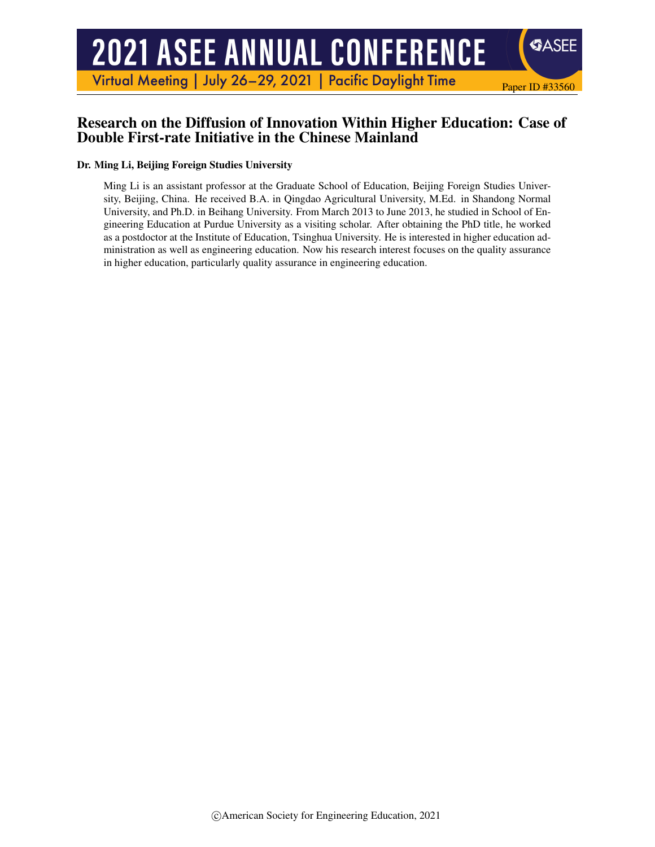# **2021 ASEE ANNUAL CONFERENCE**

Virtual Meeting | July 26-29, 2021 | Pacific Daylight Time

## Research on the Diffusion of Innovation Within Higher Education: Case of Double First-rate Initiative in the Chinese Mainland

Paper ID #33560

**SASEE** 

#### Dr. Ming Li, Beijing Foreign Studies University

Ming Li is an assistant professor at the Graduate School of Education, Beijing Foreign Studies University, Beijing, China. He received B.A. in Qingdao Agricultural University, M.Ed. in Shandong Normal University, and Ph.D. in Beihang University. From March 2013 to June 2013, he studied in School of Engineering Education at Purdue University as a visiting scholar. After obtaining the PhD title, he worked as a postdoctor at the Institute of Education, Tsinghua University. He is interested in higher education administration as well as engineering education. Now his research interest focuses on the quality assurance in higher education, particularly quality assurance in engineering education.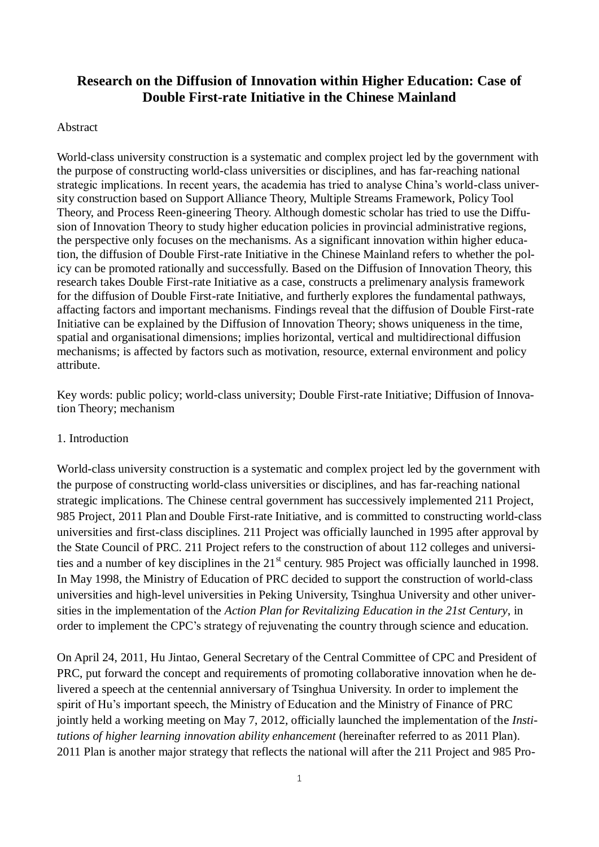# **Research on the Diffusion of Innovation within Higher Education: Case of Double First-rate Initiative in the Chinese Mainland**

#### Abstract

World-class university construction is a systematic and complex project led by the government with the purpose of constructing world-class universities or disciplines, and has far-reaching national strategic implications. In recent years, the academia has tried to analyse China's world-class university construction based on Support Alliance Theory, Multiple Streams Framework, Policy Tool Theory, and Process Reen-gineering Theory. Although domestic scholar has tried to use the Diffusion of Innovation Theory to study higher education policies in provincial administrative regions, the perspective only focuses on the mechanisms. As a significant innovation within higher education, the diffusion of Double First-rate Initiative in the Chinese Mainland refers to whether the policy can be promoted rationally and successfully. Based on the Diffusion of Innovation Theory, this research takes Double First-rate Initiative as a case, constructs a prelimenary analysis framework for the diffusion of Double First-rate Initiative, and furtherly explores the fundamental pathways, affacting factors and important mechanisms. Findings reveal that the diffusion of Double First-rate Initiative can be explained by the Diffusion of Innovation Theory; shows uniqueness in the time, spatial and organisational dimensions; implies horizontal, vertical and multidirectional diffusion mechanisms; is affected by factors such as motivation, resource, external environment and policy attribute.

Key words: public policy; world-class university; Double First-rate Initiative; Diffusion of Innovation Theory; mechanism

#### 1. Introduction

World-class university construction is a systematic and complex project led by the government with the purpose of constructing world-class universities or disciplines, and has far-reaching national strategic implications. The Chinese central government has successively implemented 211 Project, 985 Project, 2011 Plan and Double First-rate Initiative, and is committed to constructing world-class universities and first-class disciplines. 211 Project was officially launched in 1995 after approval by the State Council of PRC. 211 Project refers to the construction of about 112 colleges and universities and a number of key disciplines in the 21<sup>st</sup> century. 985 Project was officially launched in 1998. In May 1998, the Ministry of Education of PRC decided to support the construction of world-class universities and high-level universities in Peking University, Tsinghua University and other universities in the implementation of the *Action Plan for Revitalizing Education in the 21st Century*, in order to implement the CPC's strategy of rejuvenating the country through science and education.

On April 24, 2011, Hu Jintao, General Secretary of the Central Committee of CPC and President of PRC, put forward the concept and requirements of promoting collaborative innovation when he delivered a speech at the centennial anniversary of Tsinghua University. In order to implement the spirit of Hu's important speech, the Ministry of Education and the Ministry of Finance of PRC jointly held a working meeting on May 7, 2012, officially launched the implementation of the *Institutions of higher learning [innovation](https://baike.sogou.com/lemma/ShowInnerLink.htm?lemmaId=144835714&ss_c=ssc.citiao.link) ability enhancement* (hereinafter referred to as 2011 Plan). 2011 Plan is another major strategy that reflects the national will after the 211 Project and 985 Pro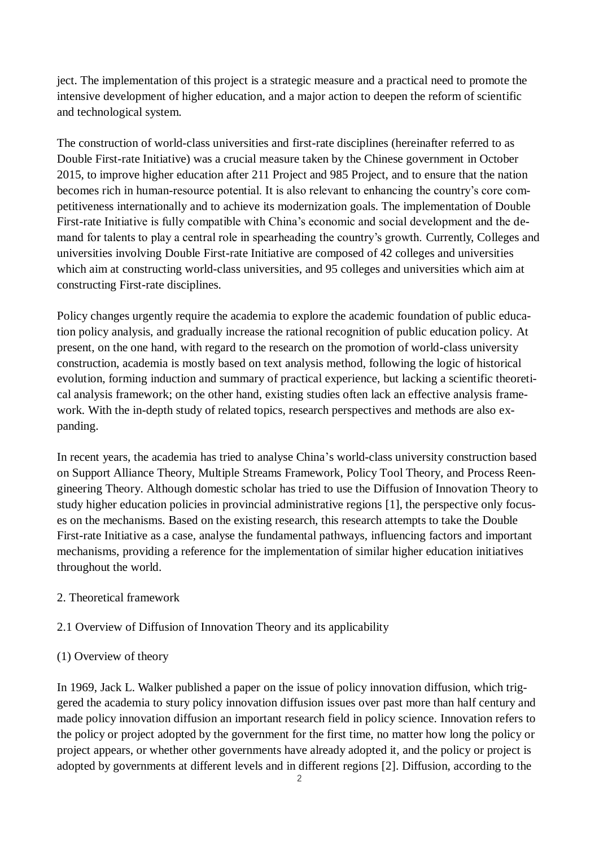ject. The implementation of this project is a strategic measure and a practical need to promote the intensive development of higher education, and a major action to deepen the reform of scientific and technological system.

The construction of world-class universities and first-rate disciplines (hereinafter referred to as Double First-rate Initiative) was a crucial measure taken by the Chinese government in October 2015, to improve higher education after 211 Project and 985 Project, and to ensure that the nation becomes rich in human-resource potential. It is also relevant to enhancing the country's core competitiveness internationally and to achieve its modernization goals. The implementation of Double First-rate Initiative is fully compatible with China's economic and social development and the demand for talents to play a central role in spearheading the country's growth. Currently, Colleges and universities involving Double First-rate Initiative are composed of 42 colleges and universities which aim at constructing world-class universities, and 95 colleges and universities which aim at constructing First-rate disciplines.

Policy changes urgently require the academia to explore the academic foundation of public education policy analysis, and gradually increase the rational recognition of public education policy. At present, on the one hand, with regard to the research on the promotion of world-class university construction, academia is mostly based on text analysis method, following the logic of historical evolution, forming induction and summary of practical experience, but lacking a scientific theoretical analysis framework; on the other hand, existing studies often lack an effective analysis framework. With the in-depth study of related topics, research perspectives and methods are also expanding.

In recent years, the academia has tried to analyse China's world-class university construction based on Support Alliance Theory, Multiple Streams Framework, Policy Tool Theory, and Process Reengineering Theory. Although domestic scholar has tried to use the Diffusion of Innovation Theory to study higher education policies in provincial administrative regions [1], the perspective only focuses on the mechanisms. Based on the existing research, this research attempts to take the Double First-rate Initiative as a case, analyse the fundamental pathways, influencing factors and important mechanisms, providing a reference for the implementation of similar higher education initiatives throughout the world.

## 2. Theoretical framework

## 2.1 Overview of Diffusion of Innovation Theory and its applicability

## (1) Overview of theory

In 1969, Jack L. Walker published a paper on the issue of policy innovation diffusion, which triggered the academia to stury policy innovation diffusion issues over past more than half century and made policy innovation diffusion an important research field in policy science. Innovation refers to the policy or project adopted by the government for the first time, no matter how long the policy or project appears, or whether other governments have already adopted it, and the policy or project is adopted by governments at different levels and in different regions [2]. Diffusion, according to the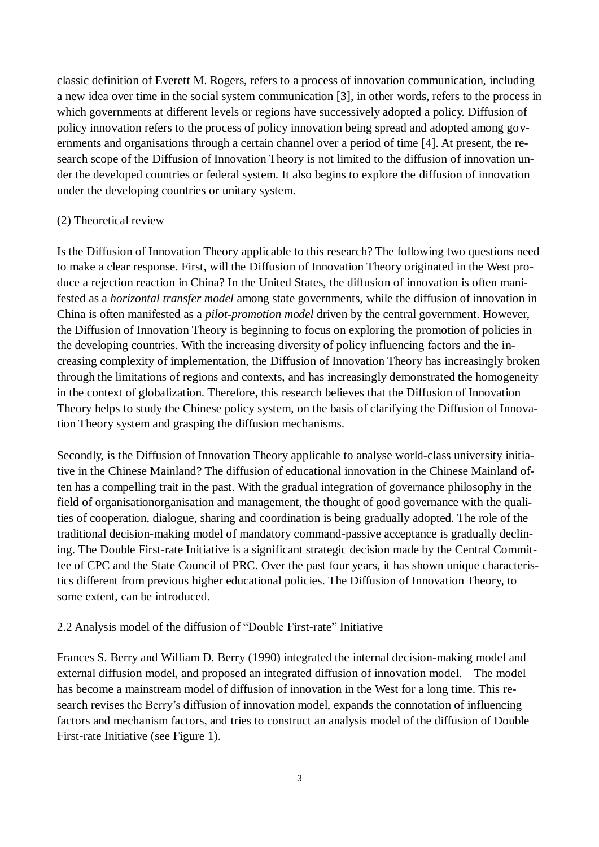classic definition of Everett M. Rogers, refers to a process of innovation communication, including a new idea over time in the social system communication [3], in other words, refers to the process in which governments at different levels or regions have successively adopted a policy. Diffusion of policy innovation refers to the process of policy innovation being spread and adopted among governments and organisations through a certain channel over a period of time [4]. At present, the research scope of the Diffusion of Innovation Theory is not limited to the diffusion of innovation under the developed countries or federal system. It also begins to explore the diffusion of innovation under the developing countries or unitary system.

## (2) Theoretical review

Is the Diffusion of Innovation Theory applicable to this research? The following two questions need to make a clear response. First, will the Diffusion of Innovation Theory originated in the West produce a rejection reaction in China? In the United States, the diffusion of innovation is often manifested as a *horizontal transfer model* among state governments, while the diffusion of innovation in China is often manifested as a *pilot-promotion model* driven by the central government. However, the Diffusion of Innovation Theory is beginning to focus on exploring the promotion of policies in the developing countries. With the increasing diversity of policy influencing factors and the increasing complexity of implementation, the Diffusion of Innovation Theory has increasingly broken through the limitations of regions and contexts, and has increasingly demonstrated the homogeneity in the context of globalization. Therefore, this research believes that the Diffusion of Innovation Theory helps to study the Chinese policy system, on the basis of clarifying the Diffusion of Innovation Theory system and grasping the diffusion mechanisms.

Secondly, is the Diffusion of Innovation Theory applicable to analyse world-class university initiative in the Chinese Mainland? The diffusion of educational innovation in the Chinese Mainland often has a compelling trait in the past. With the gradual integration of governance philosophy in the field of organisationorganisation and management, the thought of good governance with the qualities of cooperation, dialogue, sharing and coordination is being gradually adopted. The role of the traditional decision-making model of mandatory command-passive acceptance is gradually declining. The Double First-rate Initiative is a significant strategic decision made by the Central Committee of CPC and the State Council of PRC. Over the past four years, it has shown unique characteristics different from previous higher educational policies. The Diffusion of Innovation Theory, to some extent, can be introduced.

## 2.2 Analysis model of the diffusion of "Double First-rate" Initiative

Frances S. Berry and William D. Berry (1990) integrated the internal decision-making model and external diffusion model, and proposed an integrated diffusion of innovation model. The model has become a mainstream model of diffusion of innovation in the West for a long time. This research revises the Berry's diffusion of innovation model, expands the connotation of influencing factors and mechanism factors, and tries to construct an analysis model of the diffusion of Double First-rate Initiative (see Figure 1).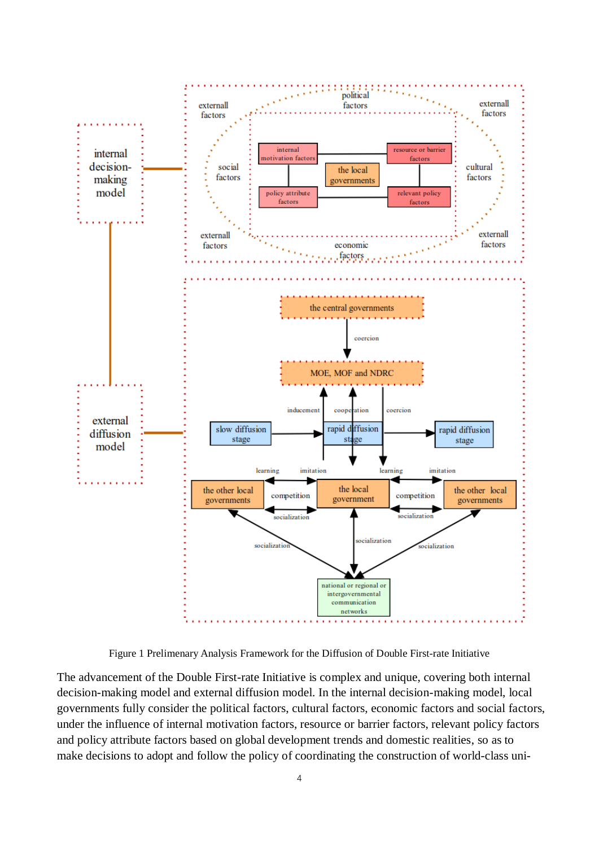

Figure 1 Prelimenary Analysis Framework for the Diffusion of Double First-rate Initiative

The advancement of the Double First-rate Initiative is complex and unique, covering both internal decision-making model and external diffusion model. In the internal decision-making model, local governments fully consider the political factors, cultural factors, economic factors and social factors, under the influence of internal motivation factors, resource or barrier factors, relevant policy factors and policy attribute factors based on global development trends and domestic realities, so as to make decisions to adopt and follow the policy of coordinating the construction of world-class uni-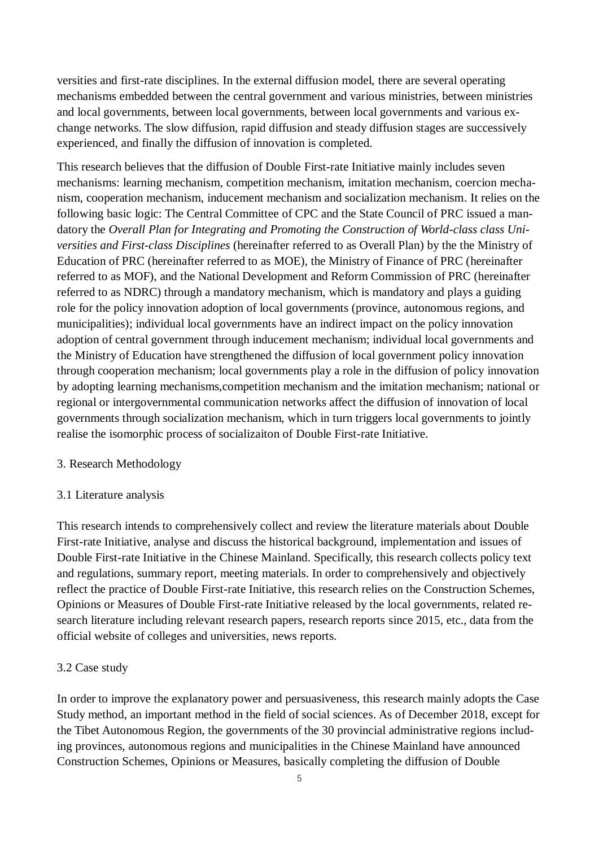versities and first-rate disciplines. In the external diffusion model, there are several operating mechanisms embedded between the central government and various ministries, between ministries and local governments, between local governments, between local governments and various exchange networks. The slow diffusion, rapid diffusion and steady diffusion stages are successively experienced, and finally the diffusion of innovation is completed.

This research believes that the diffusion of Double First-rate Initiative mainly includes seven mechanisms: learning mechanism, competition mechanism, imitation mechanism, coercion mechanism, cooperation mechanism, inducement mechanism and socialization mechanism. It relies on the following basic logic: The Central Committee of CPC and the State Council of PRC issued a mandatory the *Overall Plan for Integrating and Promoting the Construction of World-class class Universities and First-class Disciplines* (hereinafter referred to as Overall Plan) by the the Ministry of Education of PRC (hereinafter referred to as MOE), the Ministry of Finance of PRC (hereinafter referred to as MOF), and the National Development and Reform Commission of PRC (hereinafter referred to as NDRC) through a mandatory mechanism, which is mandatory and plays a guiding role for the policy innovation adoption of local governments (province, autonomous regions, and municipalities); individual local governments have an indirect impact on the policy innovation adoption of central government through inducement mechanism; individual local governments and the Ministry of Education have strengthened the diffusion of local government policy innovation through cooperation mechanism; local governments play a role in the diffusion of policy innovation by adopting learning mechanisms,competition mechanism and the imitation mechanism; national or regional or intergovernmental communication networks affect the diffusion of innovation of local governments through socialization mechanism, which in turn triggers local governments to jointly realise the isomorphic process of socializaiton of Double First-rate Initiative.

#### 3. Research Methodology

#### 3.1 Literature analysis

This research intends to comprehensively collect and review the literature materials about Double First-rate Initiative, analyse and discuss the historical background, implementation and issues of Double First-rate Initiative in the Chinese Mainland. Specifically, this research collects policy text and regulations, summary report, meeting materials. In order to comprehensively and objectively reflect the practice of Double First-rate Initiative, this research relies on the Construction Schemes, Opinions or Measures of Double First-rate Initiative released by the local governments, related research literature including relevant research papers, research reports since 2015, etc., data from the official website of colleges and universities, news reports.

## 3.2 Case study

In order to improve the explanatory power and persuasiveness, this research mainly adopts the Case Study method, an important method in the field of social sciences. As of December 2018, except for the Tibet Autonomous Region, the governments of the 30 provincial administrative regions including provinces, autonomous regions and municipalities in the Chinese Mainland have announced Construction Schemes, Opinions or Measures, basically completing the diffusion of Double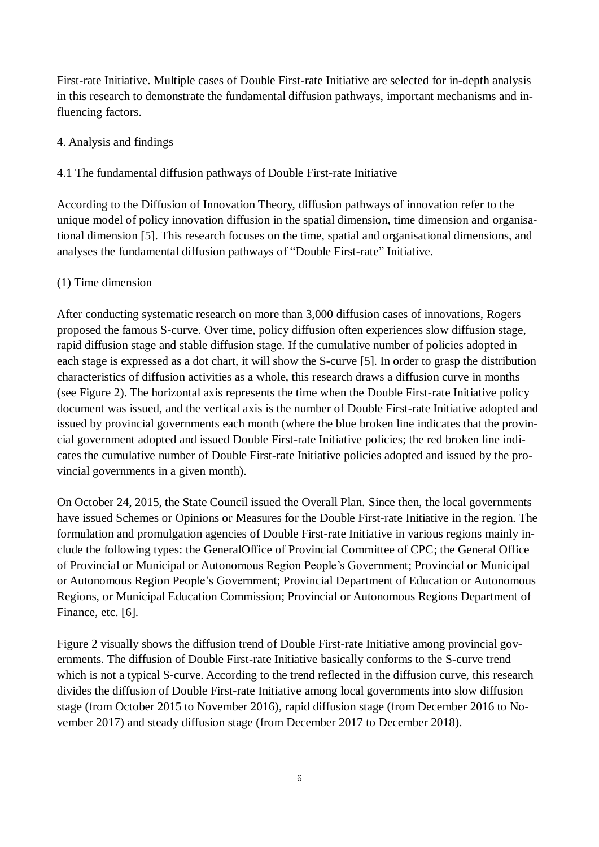First-rate Initiative. Multiple cases of Double First-rate Initiative are selected for in-depth analysis in this research to demonstrate the fundamental diffusion pathways, important mechanisms and influencing factors.

## 4. Analysis and findings

## 4.1 The fundamental diffusion pathways of Double First-rate Initiative

According to the Diffusion of Innovation Theory, diffusion pathways of innovation refer to the unique model of policy innovation diffusion in the spatial dimension, time dimension and organisational dimension [5]. This research focuses on the time, spatial and organisational dimensions, and analyses the fundamental diffusion pathways of "Double First-rate" Initiative.

## (1) Time dimension

After conducting systematic research on more than 3,000 diffusion cases of innovations, Rogers proposed the famous S-curve. Over time, policy diffusion often experiences slow diffusion stage, rapid diffusion stage and stable diffusion stage. If the cumulative number of policies adopted in each stage is expressed as a dot chart, it will show the S-curve [5]. In order to grasp the distribution characteristics of diffusion activities as a whole, this research draws a diffusion curve in months (see Figure 2). The horizontal axis represents the time when the Double First-rate Initiative policy document was issued, and the vertical axis is the number of Double First-rate Initiative adopted and issued by provincial governments each month (where the blue broken line indicates that the provincial government adopted and issued Double First-rate Initiative policies; the red broken line indicates the cumulative number of Double First-rate Initiative policies adopted and issued by the provincial governments in a given month).

On October 24, 2015, the State Council issued the Overall Plan. Since then, the local governments have issued Schemes or Opinions or Measures for the Double First-rate Initiative in the region. The formulation and promulgation agencies of Double First-rate Initiative in various regions mainly include the following types: the GeneralOffice of Provincial Committee of CPC; the General Office of Provincial or Municipal or Autonomous Region People's Government; Provincial or Municipal or Autonomous Region People's Government; Provincial Department of Education or Autonomous Regions, or Municipal Education Commission; Provincial or Autonomous Regions Department of Finance, etc. [6].

Figure 2 visually shows the diffusion trend of Double First-rate Initiative among provincial governments. The diffusion of Double First-rate Initiative basically conforms to the S-curve trend which is not a typical S-curve. According to the trend reflected in the diffusion curve, this research divides the diffusion of Double First-rate Initiative among local governments into slow diffusion stage (from October 2015 to November 2016), rapid diffusion stage (from December 2016 to November 2017) and steady diffusion stage (from December 2017 to December 2018).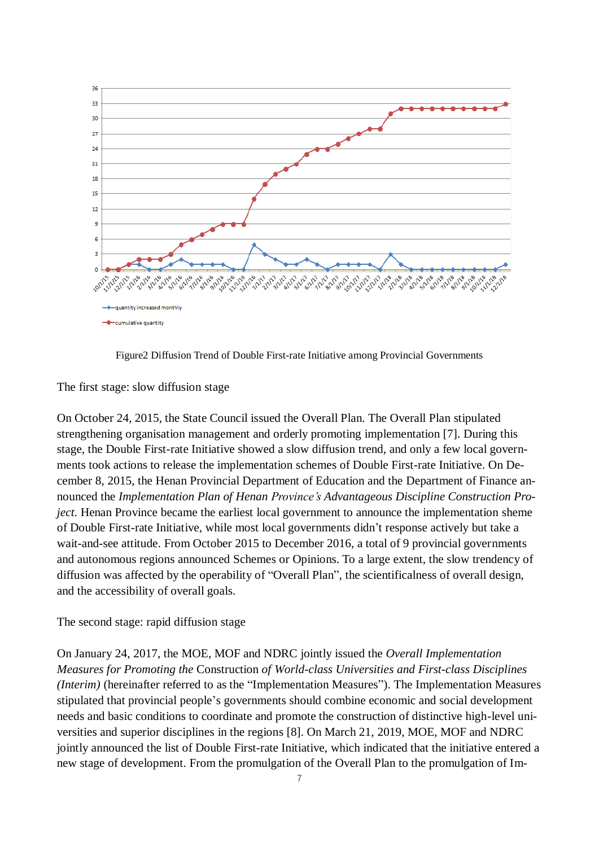

Figure2 Diffusion Trend of Double First-rate Initiative among Provincial Governments

The first stage: slow diffusion stage

On October 24, 2015, the State Council issued the Overall Plan. The Overall Plan stipulated strengthening organisation management and orderly promoting implementation [7]. During this stage, the Double First-rate Initiative showed a slow diffusion trend, and only a few local governments took actions to release the implementation schemes of Double First-rate Initiative. On December 8, 2015, the Henan Provincial Department of Education and the Department of Finance announced the *Implementation Plan of Henan Province's Advantageous Discipline Construction Project*. Henan Province became the earliest local government to announce the implementation sheme of Double First-rate Initiative, while most local governments didn't response actively but take a wait-and-see attitude. From October 2015 to December 2016, a total of 9 provincial governments and autonomous regions announced Schemes or Opinions. To a large extent, the slow trendency of diffusion was affected by the operability of "Overall Plan", the scientificalness of overall design, and the accessibility of overall goals.

The second stage: rapid diffusion stage

On January 24, 2017, the MOE, MOF and NDRC jointly issued the *Overall Implementation Measures for Promoting the* Construction *of World-class Universities and First-class Disciplines (Interim)* (hereinafter referred to as the "Implementation Measures"). The Implementation Measures stipulated that provincial people's governments should combine economic and social development needs and basic conditions to coordinate and promote the construction of distinctive high-level universities and superior disciplines in the regions [8]. On March 21, 2019, MOE, MOF and NDRC jointly announced the list of Double First-rate Initiative, which indicated that the initiative entered a new stage of development. From the promulgation of the Overall Plan to the promulgation of Im-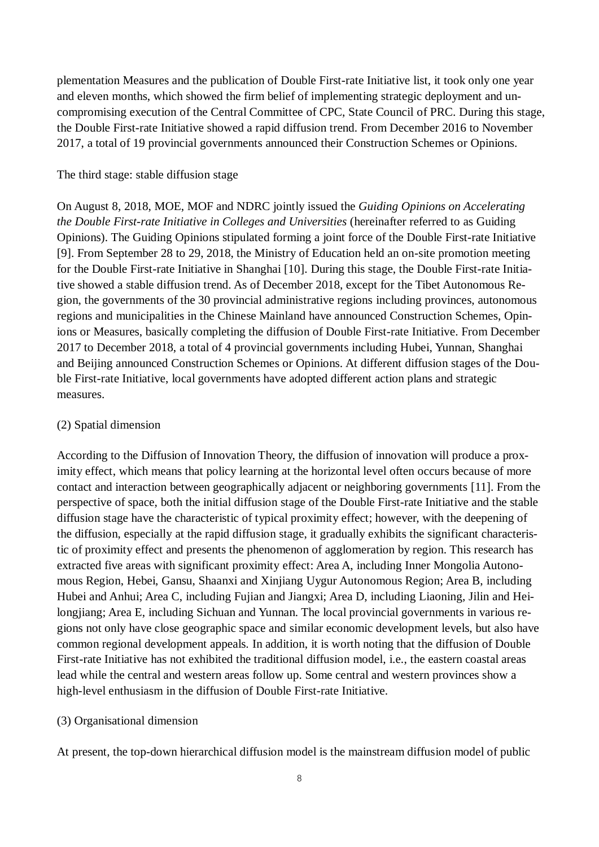plementation Measures and the publication of Double First-rate Initiative list, it took only one year and eleven months, which showed the firm belief of implementing strategic deployment and uncompromising execution of the Central Committee of CPC, State Council of PRC. During this stage, the Double First-rate Initiative showed a rapid diffusion trend. From December 2016 to November 2017, a total of 19 provincial governments announced their Construction Schemes or Opinions.

#### The third stage: stable diffusion stage

On August 8, 2018, MOE, MOF and NDRC jointly issued the *Guiding Opinions on Accelerating the Double First-rate Initiative in Colleges and Universities* (hereinafter referred to as Guiding Opinions). The Guiding Opinions stipulated forming a joint force of the Double First-rate Initiative [9]. From September 28 to 29, 2018, the Ministry of Education held an on-site promotion meeting for the Double First-rate Initiative in Shanghai [10]. During this stage, the Double First-rate Initiative showed a stable diffusion trend. As of December 2018, except for the Tibet Autonomous Region, the governments of the 30 provincial administrative regions including provinces, autonomous regions and municipalities in the Chinese Mainland have announced Construction Schemes, Opinions or Measures, basically completing the diffusion of Double First-rate Initiative. From December 2017 to December 2018, a total of 4 provincial governments including Hubei, Yunnan, Shanghai and Beijing announced Construction Schemes or Opinions. At different diffusion stages of the Double First-rate Initiative, local governments have adopted different action plans and strategic measures.

#### (2) Spatial dimension

According to the Diffusion of Innovation Theory, the diffusion of innovation will produce a proximity effect, which means that policy learning at the horizontal level often occurs because of more contact and interaction between geographically adjacent or neighboring governments [11]. From the perspective of space, both the initial diffusion stage of the Double First-rate Initiative and the stable diffusion stage have the characteristic of typical proximity effect; however, with the deepening of the diffusion, especially at the rapid diffusion stage, it gradually exhibits the significant characteristic of proximity effect and presents the phenomenon of agglomeration by region. This research has extracted five areas with significant proximity effect: Area A, including Inner Mongolia Autonomous Region, Hebei, Gansu, Shaanxi and Xinjiang Uygur Autonomous Region; Area B, including Hubei and Anhui; Area C, including Fujian and Jiangxi; Area D, including Liaoning, Jilin and Heilongjiang; Area E, including Sichuan and Yunnan. The local provincial governments in various regions not only have close geographic space and similar economic development levels, but also have common regional development appeals. In addition, it is worth noting that the diffusion of Double First-rate Initiative has not exhibited the traditional diffusion model, i.e., the eastern coastal areas lead while the central and western areas follow up. Some central and western provinces show a high-level enthusiasm in the diffusion of Double First-rate Initiative.

#### (3) Organisational dimension

At present, the top-down hierarchical diffusion model is the mainstream diffusion model of public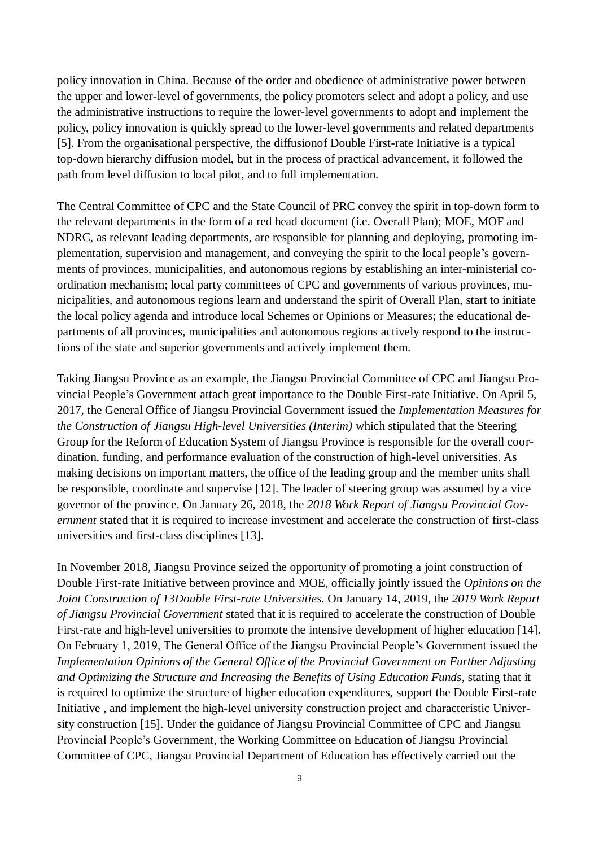policy innovation in China. Because of the order and obedience of administrative power between the upper and lower-level of governments, the policy promoters select and adopt a policy, and use the administrative instructions to require the lower-level governments to adopt and implement the policy, policy innovation is quickly spread to the lower-level governments and related departments [5]. From the organisational perspective, the diffusionof Double First-rate Initiative is a typical top-down hierarchy diffusion model, but in the process of practical advancement, it followed the path from level diffusion to local pilot, and to full implementation.

The Central Committee of CPC and the State Council of PRC convey the spirit in top-down form to the relevant departments in the form of a red head document (i.e. Overall Plan); MOE, MOF and NDRC, as relevant leading departments, are responsible for planning and deploying, promoting implementation, supervision and management, and conveying the spirit to the local people's governments of provinces, municipalities, and autonomous regions by establishing an inter-ministerial coordination mechanism; local party committees of CPC and governments of various provinces, municipalities, and autonomous regions learn and understand the spirit of Overall Plan, start to initiate the local policy agenda and introduce local Schemes or Opinions or Measures; the educational departments of all provinces, municipalities and autonomous regions actively respond to the instructions of the state and superior governments and actively implement them.

Taking Jiangsu Province as an example, the Jiangsu Provincial Committee of CPC and Jiangsu Provincial People's Government attach great importance to the Double First-rate Initiative. On April 5, 2017, the General Office of Jiangsu Provincial Government issued the *Implementation Measures for the Construction of Jiangsu High-level Universities (Interim)* which stipulated that the Steering Group for the Reform of Education System of Jiangsu Province is responsible for the overall coordination, funding, and performance evaluation of the construction of high-level universities. As making decisions on important matters, the office of the leading group and the member units shall be responsible, coordinate and supervise [12]. The leader of steering group was assumed by a vice governor of the province. On January 26, 2018, the *2018 Work Report of Jiangsu Provincial Government* stated that it is required to increase investment and accelerate the construction of first-class universities and first-class disciplines [13].

In November 2018, Jiangsu Province seized the opportunity of promoting a joint construction of Double First-rate Initiative between province and MOE, officially jointly issued the *Opinions on the Joint Construction of 13Double First-rate Universities*. On January 14, 2019, the *2019 Work Report of Jiangsu Provincial Government* stated that it is required to accelerate the construction of Double First-rate and high-level universities to promote the intensive development of higher education [14]. On February 1, 2019, The General Office of the Jiangsu Provincial People's Government issued the *Implementation Opinions of the General Office of the Provincial Government on Further Adjusting and Optimizing the Structure and Increasing the Benefits of Using Education Funds*, stating that it is required to optimize the structure of higher education expenditures, support the Double First-rate Initiative , and implement the high-level university construction project and characteristic University construction [15]. Under the guidance of Jiangsu Provincial Committee of CPC and Jiangsu Provincial People's Government, the Working Committee on Education of Jiangsu Provincial Committee of CPC, Jiangsu Provincial Department of Education has effectively carried out the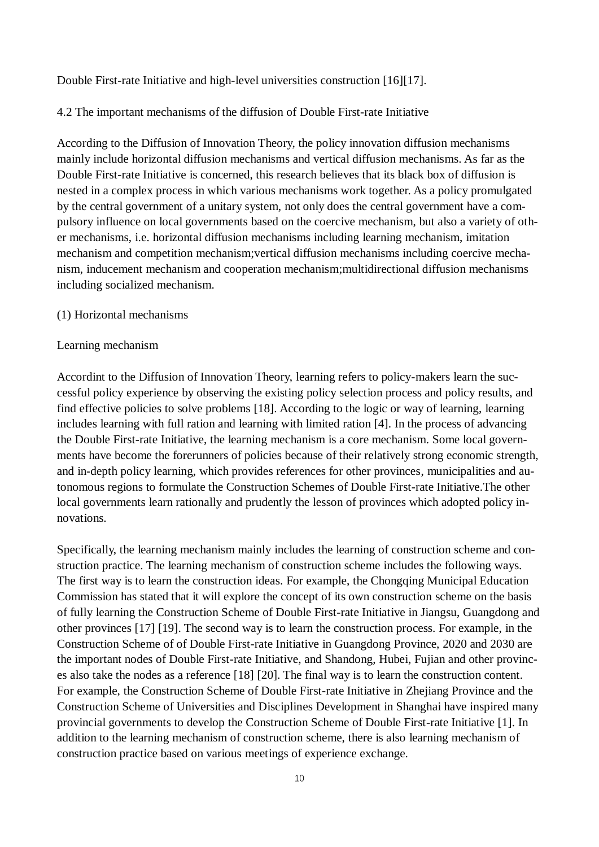Double First-rate Initiative and high-level universities construction [16][17].

4.2 The important mechanisms of the diffusion of Double First-rate Initiative

According to the Diffusion of Innovation Theory, the policy innovation diffusion mechanisms mainly include horizontal diffusion mechanisms and vertical diffusion mechanisms. As far as the Double First-rate Initiative is concerned, this research believes that its black box of diffusion is nested in a complex process in which various mechanisms work together. As a policy promulgated by the central government of a unitary system, not only does the central government have a compulsory influence on local governments based on the coercive mechanism, but also a variety of other mechanisms, i.e. horizontal diffusion mechanisms including learning mechanism, imitation mechanism and competition mechanism;vertical diffusion mechanisms including coercive mechanism, inducement mechanism and cooperation mechanism;multidirectional diffusion mechanisms including socialized mechanism.

#### (1) Horizontal mechanisms

#### Learning mechanism

Accordint to the Diffusion of Innovation Theory, learning refers to policy-makers learn the successful policy experience by observing the existing policy selection process and policy results, and find effective policies to solve problems [18]. According to the logic or way of learning, learning includes learning with full ration and learning with limited ration [4]. In the process of advancing the Double First-rate Initiative, the learning mechanism is a core mechanism. Some local governments have become the forerunners of policies because of their relatively strong economic strength, and in-depth policy learning, which provides references for other provinces, municipalities and autonomous regions to formulate the Construction Schemes of Double First-rate Initiative.The other local governments learn rationally and prudently the lesson of provinces which adopted policy innovations.

Specifically, the learning mechanism mainly includes the learning of construction scheme and construction practice. The learning mechanism of construction scheme includes the following ways. The first way is to learn the construction ideas. For example, the Chongqing Municipal Education Commission has stated that it will explore the concept of its own construction scheme on the basis of fully learning the Construction Scheme of Double First-rate Initiative in Jiangsu, Guangdong and other provinces [17] [19]. The second way is to learn the construction process. For example, in the Construction Scheme of of Double First-rate Initiative in Guangdong Province, 2020 and 2030 are the important nodes of Double First-rate Initiative, and Shandong, Hubei, Fujian and other provinces also take the nodes as a reference [18] [20]. The final way is to learn the construction content. For example, the Construction Scheme of Double First-rate Initiative in Zhejiang Province and the Construction Scheme of Universities and Disciplines Development in Shanghai have inspired many provincial governments to develop the Construction Scheme of Double First-rate Initiative [1]. In addition to the learning mechanism of construction scheme, there is also learning mechanism of construction practice based on various meetings of experience exchange.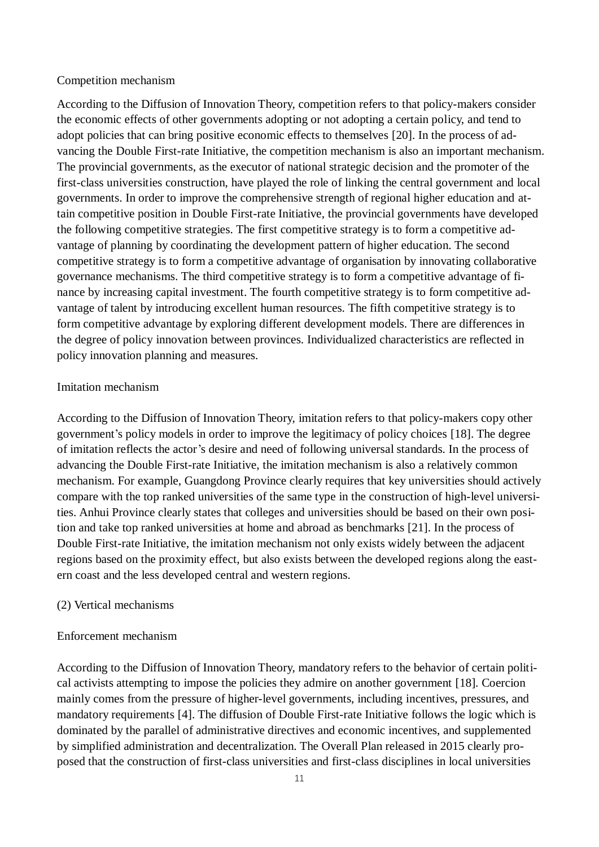#### Competition mechanism

According to the Diffusion of Innovation Theory, competition refers to that policy-makers consider the economic effects of other governments adopting or not adopting a certain policy, and tend to adopt policies that can bring positive economic effects to themselves [20]. In the process of advancing the Double First-rate Initiative, the competition mechanism is also an important mechanism. The provincial governments, as the executor of national strategic decision and the promoter of the first-class universities construction, have played the role of linking the central government and local governments. In order to improve the comprehensive strength of regional higher education and attain competitive position in Double First-rate Initiative, the provincial governments have developed the following competitive strategies. The first competitive strategy is to form a competitive advantage of planning by coordinating the development pattern of higher education. The second competitive strategy is to form a competitive advantage of organisation by innovating collaborative governance mechanisms. The third competitive strategy is to form a competitive advantage of finance by increasing capital investment. The fourth competitive strategy is to form competitive advantage of talent by introducing excellent human resources. The fifth competitive strategy is to form competitive advantage by exploring different development models. There are differences in the degree of policy innovation between provinces. Individualized characteristics are reflected in policy innovation planning and measures.

#### Imitation mechanism

According to the Diffusion of Innovation Theory, imitation refers to that policy-makers copy other government's policy models in order to improve the legitimacy of policy choices [18]. The degree of imitation reflects the actor's desire and need of following universal standards. In the process of advancing the Double First-rate Initiative, the imitation mechanism is also a relatively common mechanism. For example, Guangdong Province clearly requires that key universities should actively compare with the top ranked universities of the same type in the construction of high-level universities. Anhui Province clearly states that colleges and universities should be based on their own position and take top ranked universities at home and abroad as benchmarks [21]. In the process of Double First-rate Initiative, the imitation mechanism not only exists widely between the adjacent regions based on the proximity effect, but also exists between the developed regions along the eastern coast and the less developed central and western regions.

#### (2) Vertical mechanisms

## Enforcement mechanism

According to the Diffusion of Innovation Theory, mandatory refers to the behavior of certain political activists attempting to impose the policies they admire on another government [18]. Coercion mainly comes from the pressure of higher-level governments, including incentives, pressures, and mandatory requirements [4]. The diffusion of Double First-rate Initiative follows the logic which is dominated by the parallel of administrative directives and economic incentives, and supplemented by simplified administration and decentralization. The Overall Plan released in 2015 clearly proposed that the construction of first-class universities and first-class disciplines in local universities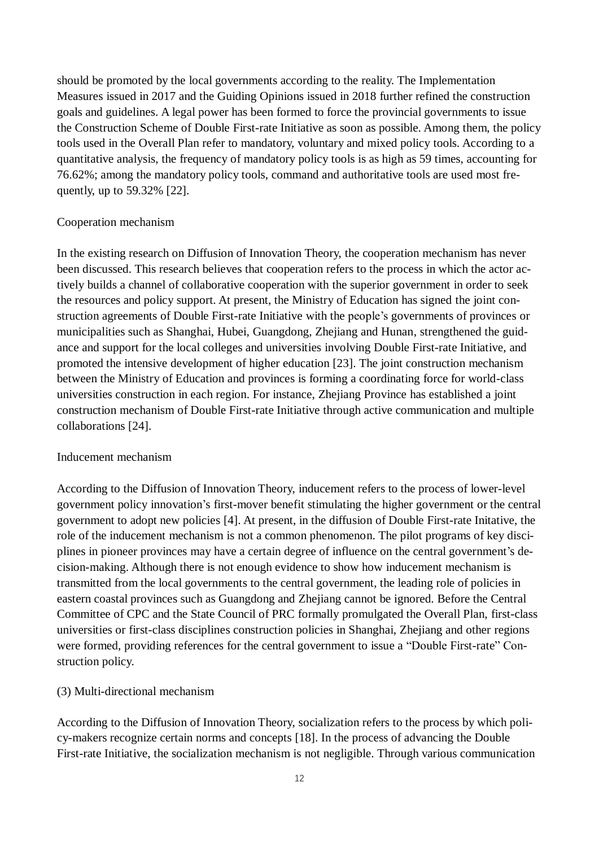should be promoted by the local governments according to the reality. The Implementation Measures issued in 2017 and the Guiding Opinions issued in 2018 further refined the construction goals and guidelines. A legal power has been formed to force the provincial governments to issue the Construction Scheme of Double First-rate Initiative as soon as possible. Among them, the policy tools used in the Overall Plan refer to mandatory, voluntary and mixed policy tools. According to a quantitative analysis, the frequency of mandatory policy tools is as high as 59 times, accounting for 76.62%; among the mandatory policy tools, command and authoritative tools are used most frequently, up to 59.32% [22].

#### Cooperation mechanism

In the existing research on Diffusion of Innovation Theory, the cooperation mechanism has never been discussed. This research believes that cooperation refers to the process in which the actor actively builds a channel of collaborative cooperation with the superior government in order to seek the resources and policy support. At present, the Ministry of Education has signed the joint construction agreements of Double First-rate Initiative with the people's governments of provinces or municipalities such as Shanghai, Hubei, Guangdong, Zhejiang and Hunan, strengthened the guidance and support for the local colleges and universities involving Double First-rate Initiative, and promoted the intensive development of higher education [23]. The joint construction mechanism between the Ministry of Education and provinces is forming a coordinating force for world-class universities construction in each region. For instance, Zhejiang Province has established a joint construction mechanism of Double First-rate Initiative through active communication and multiple collaborations [24].

#### Inducement mechanism

According to the Diffusion of Innovation Theory, inducement refers to the process of lower-level government policy innovation's first-mover benefit stimulating the higher government or the central government to adopt new policies [4]. At present, in the diffusion of Double First-rate Initative, the role of the inducement mechanism is not a common phenomenon. The pilot programs of key disciplines in pioneer provinces may have a certain degree of influence on the central government's decision-making. Although there is not enough evidence to show how inducement mechanism is transmitted from the local governments to the central government, the leading role of policies in eastern coastal provinces such as Guangdong and Zhejiang cannot be ignored. Before the Central Committee of CPC and the State Council of PRC formally promulgated the Overall Plan, first-class universities or first-class disciplines construction policies in Shanghai, Zhejiang and other regions were formed, providing references for the central government to issue a "Double First-rate" Construction policy.

#### (3) Multi-directional mechanism

According to the Diffusion of Innovation Theory, socialization refers to the process by which policy-makers recognize certain norms and concepts [18]. In the process of advancing the Double First-rate Initiative, the socialization mechanism is not negligible. Through various communication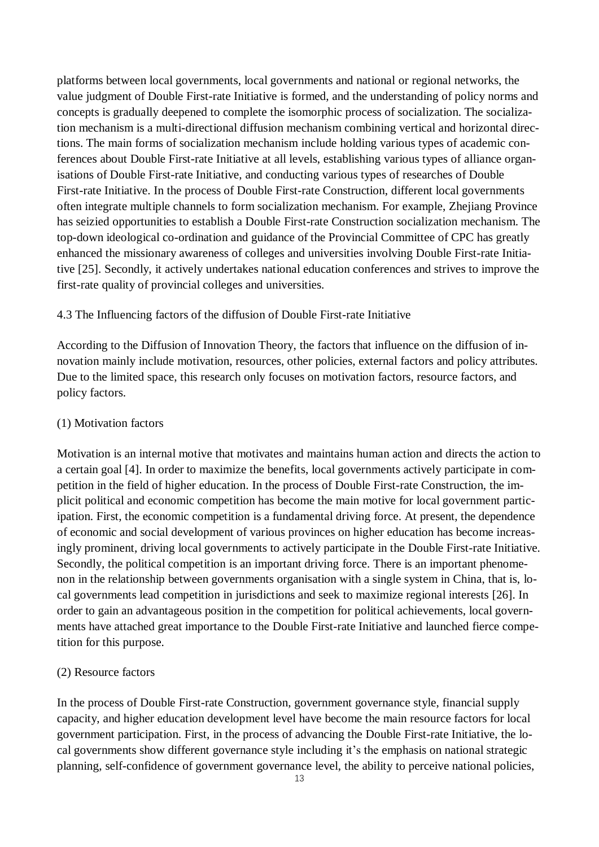platforms between local governments, local governments and national or regional networks, the value judgment of Double First-rate Initiative is formed, and the understanding of policy norms and concepts is gradually deepened to complete the isomorphic process of socialization. The socialization mechanism is a multi-directional diffusion mechanism combining vertical and horizontal directions. The main forms of socialization mechanism include holding various types of academic conferences about Double First-rate Initiative at all levels, establishing various types of alliance organisations of Double First-rate Initiative, and conducting various types of researches of Double First-rate Initiative. In the process of Double First-rate Construction, different local governments often integrate multiple channels to form socialization mechanism. For example, Zhejiang Province has seizied opportunities to establish a Double First-rate Construction socialization mechanism. The top-down ideological co-ordination and guidance of the Provincial Committee of CPC has greatly enhanced the missionary awareness of colleges and universities involving Double First-rate Initiative [25]. Secondly, it actively undertakes national education conferences and strives to improve the first-rate quality of provincial colleges and universities.

#### 4.3 The Influencing factors of the diffusion of Double First-rate Initiative

According to the Diffusion of Innovation Theory, the factors that influence on the diffusion of innovation mainly include motivation, resources, other policies, external factors and policy attributes. Due to the limited space, this research only focuses on motivation factors, resource factors, and policy factors.

#### (1) Motivation factors

Motivation is an internal motive that motivates and maintains human action and directs the action to a certain goal [4]. In order to maximize the benefits, local governments actively participate in competition in the field of higher education. In the process of Double First-rate Construction, the implicit political and economic competition has become the main motive for local government participation. First, the economic competition is a fundamental driving force. At present, the dependence of economic and social development of various provinces on higher education has become increasingly prominent, driving local governments to actively participate in the Double First-rate Initiative. Secondly, the political competition is an important driving force. There is an important phenomenon in the relationship between governments organisation with a single system in China, that is, local governments lead competition in jurisdictions and seek to maximize regional interests [26]. In order to gain an advantageous position in the competition for political achievements, local governments have attached great importance to the Double First-rate Initiative and launched fierce competition for this purpose.

#### (2) Resource factors

In the process of Double First-rate Construction, government governance style, financial supply capacity, and higher education development level have become the main resource factors for local government participation. First, in the process of advancing the Double First-rate Initiative, the local governments show different governance style including it's the emphasis on national strategic planning, self-confidence of government governance level, the ability to perceive national policies,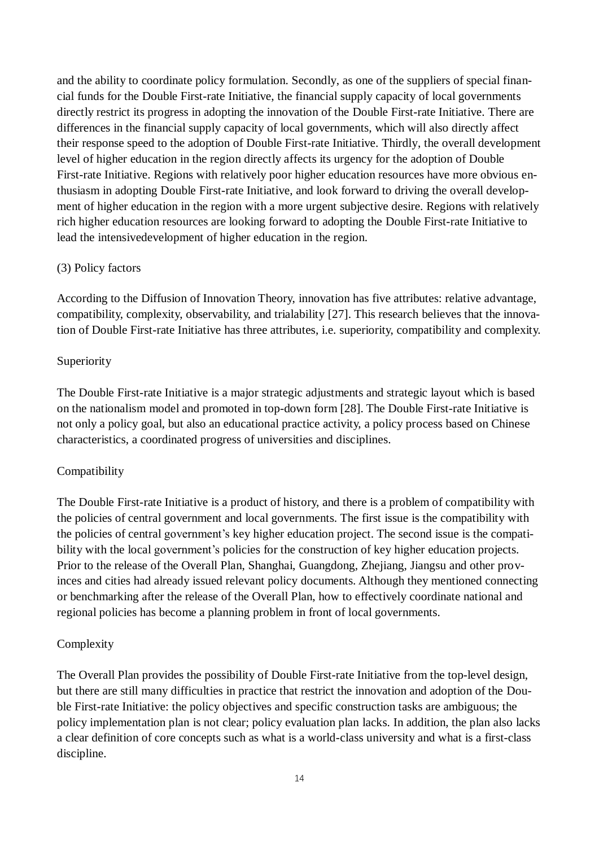and the ability to coordinate policy formulation. Secondly, as one of the suppliers of special financial funds for the Double First-rate Initiative, the financial supply capacity of local governments directly restrict its progress in adopting the innovation of the Double First-rate Initiative. There are differences in the financial supply capacity of local governments, which will also directly affect their response speed to the adoption of Double First-rate Initiative. Thirdly, the overall development level of higher education in the region directly affects its urgency for the adoption of Double First-rate Initiative. Regions with relatively poor higher education resources have more obvious enthusiasm in adopting Double First-rate Initiative, and look forward to driving the overall development of higher education in the region with a more urgent subjective desire. Regions with relatively rich higher education resources are looking forward to adopting the Double First-rate Initiative to lead the intensivedevelopment of higher education in the region.

#### (3) Policy factors

According to the Diffusion of Innovation Theory, innovation has five attributes: relative advantage, compatibility, complexity, observability, and trialability [27]. This research believes that the innovation of Double First-rate Initiative has three attributes, i.e. superiority, compatibility and complexity.

#### **Superiority**

The Double First-rate Initiative is a major strategic adjustments and strategic layout which is based on the nationalism model and promoted in top-down form [28]. The Double First-rate Initiative is not only a policy goal, but also an educational practice activity, a policy process based on Chinese characteristics, a coordinated progress of universities and disciplines.

## Compatibility

The Double First-rate Initiative is a product of history, and there is a problem of compatibility with the policies of central government and local governments. The first issue is the compatibility with the policies of central government's key higher education project. The second issue is the compatibility with the local government's policies for the construction of key higher education projects. Prior to the release of the Overall Plan, Shanghai, Guangdong, Zhejiang, Jiangsu and other provinces and cities had already issued relevant policy documents. Although they mentioned connecting or benchmarking after the release of the Overall Plan, how to effectively coordinate national and regional policies has become a planning problem in front of local governments.

#### Complexity

The Overall Plan provides the possibility of Double First-rate Initiative from the top-level design, but there are still many difficulties in practice that restrict the innovation and adoption of the Double First-rate Initiative: the policy objectives and specific construction tasks are ambiguous; the policy implementation plan is not clear; policy evaluation plan lacks. In addition, the plan also lacks a clear definition of core concepts such as what is a world-class university and what is a first-class discipline.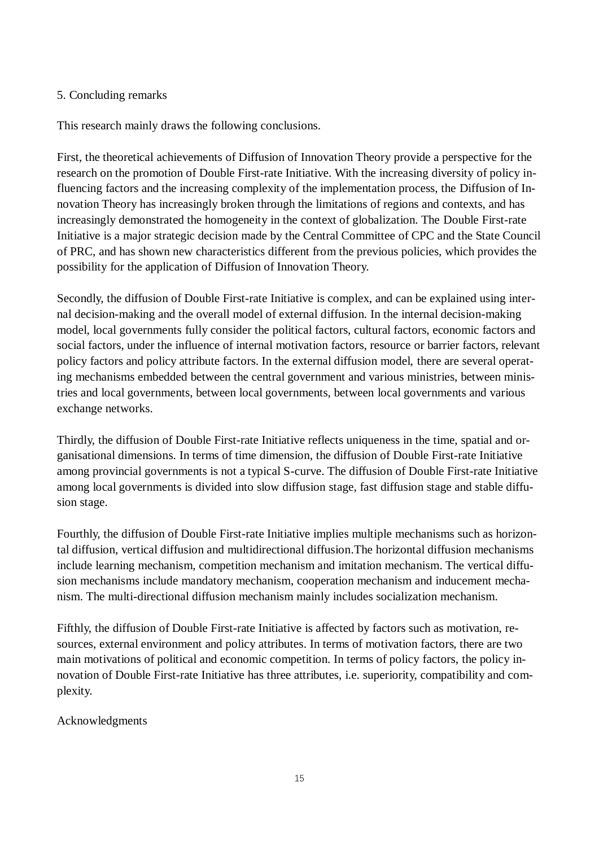## 5. Concluding remarks

This research mainly draws the following conclusions.

First, the theoretical achievements of Diffusion of Innovation Theory provide a perspective for the research on the promotion of Double First-rate Initiative. With the increasing diversity of policy influencing factors and the increasing complexity of the implementation process, the Diffusion of Innovation Theory has increasingly broken through the limitations of regions and contexts, and has increasingly demonstrated the homogeneity in the context of globalization. The Double First-rate Initiative is a major strategic decision made by the Central Committee of CPC and the State Council of PRC, and has shown new characteristics different from the previous policies, which provides the possibility for the application of Diffusion of Innovation Theory.

Secondly, the diffusion of Double First-rate Initiative is complex, and can be explained using internal decision-making and the overall model of external diffusion. In the internal decision-making model, local governments fully consider the political factors, cultural factors, economic factors and social factors, under the influence of internal motivation factors, resource or barrier factors, relevant policy factors and policy attribute factors. In the external diffusion model, there are several operating mechanisms embedded between the central government and various ministries, between ministries and local governments, between local governments, between local governments and various exchange networks.

Thirdly, the diffusion of Double First-rate Initiative reflects uniqueness in the time, spatial and organisational dimensions. In terms of time dimension, the diffusion of Double First-rate Initiative among provincial governments is not a typical S-curve. The diffusion of Double First-rate Initiative among local governments is divided into slow diffusion stage, fast diffusion stage and stable diffusion stage.

Fourthly, the diffusion of Double First-rate Initiative implies multiple mechanisms such as horizontal diffusion, vertical diffusion and multidirectional diffusion.The horizontal diffusion mechanisms include learning mechanism, competition mechanism and imitation mechanism. The vertical diffusion mechanisms include mandatory mechanism, cooperation mechanism and inducement mechanism. The multi-directional diffusion mechanism mainly includes socialization mechanism.

Fifthly, the diffusion of Double First-rate Initiative is affected by factors such as motivation, resources, external environment and policy attributes. In terms of motivation factors, there are two main motivations of political and economic competition. In terms of policy factors, the policy innovation of Double First-rate Initiative has three attributes, i.e. superiority, compatibility and complexity.

## Acknowledgments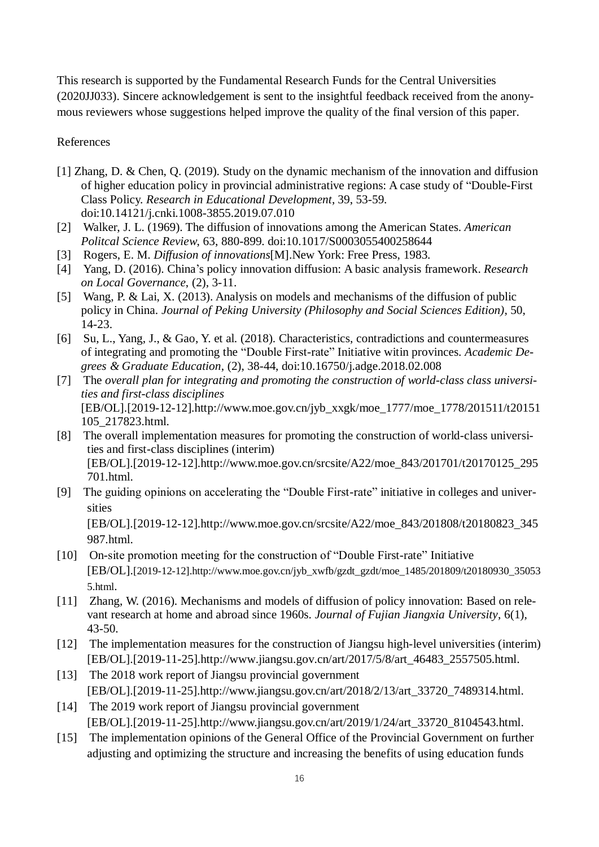This research is supported by the Fundamental Research Funds for the Central Universities (2020JJ033). Sincere acknowledgement is sent to the insightful feedback received from the anonymous reviewers whose suggestions helped improve the quality of the final version of this paper.

## References

- [1] Zhang, D. & Chen, Q. (2019). Study on the dynamic mechanism of the innovation and diffusion of higher education policy in provincial administrative regions: A case study of "Double-First Class Policy. *Research in Educational Development*, 39, 53-59. doi:10.14121/j.cnki.1008-3855.2019.07.010
- [2] Walker, J. L. (1969). The diffusion of innovations among the American States. *American Politcal Science Review*, 63, 880-899. doi:10.1017/S0003055400258644
- [3] Rogers, E. M. *Diffusion of innovations*[M].New York: Free Press, 1983.
- [4] Yang, D. (2016). China's policy innovation diffusion: A basic analysis framework. *Research on Local Governance*, (2), 3-11.
- [5] Wang, P. & Lai, X. (2013). Analysis on models and mechanisms of the diffusion of public policy in China. *Journal of Peking University (Philosophy and Social Sciences Edition)*, 50, 14-23.
- [6] Su, L., Yang, J., & Gao, Y. et al. (2018). Characteristics, contradictions and countermeasures of integrating and promoting the "Double First-rate" Initiative witin provinces. *Academic Degrees & Graduate Education*, (2), 38-44, doi:10.16750/j.adge.2018.02.008
- [7] The *overall plan for integrating and promoting the construction of world-class class universities and first-class disciplines* [EB/OL].[2019-12-12].http://www.moe.gov.cn/jyb\_xxgk/moe\_1777/moe\_1778/201511/t20151 105\_217823.html.
- [8] The overall implementation measures for promoting the construction of world-class universities and first-class disciplines (interim) [EB/OL].[2019-12-12].http://www.moe.gov.cn/srcsite/A22/moe\_843/201701/t20170125\_295 701.html.
- [9] The guiding opinions on accelerating the "Double First-rate" initiative in colleges and universities

[EB/OL].[2019-12-12][.http://www.moe.gov.cn/srcsite/A22/moe\\_843/201808/t20180823\\_345](http://www.moe.gov.cn/srcsite/A22/moe_843/201808/t20180823_345987.html) [987.html.](http://www.moe.gov.cn/srcsite/A22/moe_843/201808/t20180823_345987.html)

- [10] On-site promotion meeting for the construction of "Double First-rate" Initiative [EB/OL].[\[2019-12-12\].http://www.moe.gov.cn/jyb\\_xwfb/gzdt\\_gzdt/moe\\_1485/201809/t20180930\\_35053](file:///C:/科研/李曼丽课题/重大攻关/研究计划/9.政策创新扩散理论视域下世界一流大学建设推进机制研究：以我国“双一流”建设计划为例/清华大学教育研究/推动“双一流”加快建设、特色建设、高质量建设%20教育部召开“双一流”建设现场推进会http:/www.moe.gov.cn/jyb_xwfb/gzdt_gzdt/moe_1485/201809/t20180930_350535.html) [5.html](file:///C:/科研/李曼丽课题/重大攻关/研究计划/9.政策创新扩散理论视域下世界一流大学建设推进机制研究：以我国“双一流”建设计划为例/清华大学教育研究/推动“双一流”加快建设、特色建设、高质量建设%20教育部召开“双一流”建设现场推进会http:/www.moe.gov.cn/jyb_xwfb/gzdt_gzdt/moe_1485/201809/t20180930_350535.html).
- [11] Zhang, W. (2016). Mechanisms and models of diffusion of policy innovation: Based on relevant research at home and abroad since 1960s. *Journal of Fujian Jiangxia University*, 6(1), 43-50.
- [12] The implementation measures for the construction of Jiangsu high-level universities (interim) [EB/OL].[2019-11-25].http://www.jiangsu.gov.cn/art/2017/5/8/art\_46483\_2557505.html.
- [13] The 2018 work report of Jiangsu provincial government [EB/OL].[2019-11-25].http://www.jiangsu.gov.cn/art/2018/2/13/art\_33720\_7489314.html.
- [14] The 2019 work report of Jiangsu provincial government [EB/OL].[2019-11-25].http://www.jiangsu.gov.cn/art/2019/1/24/art\_33720\_8104543.html.
- [15] The implementation opinions of the General Office of the Provincial Government on further adjusting and optimizing the structure and increasing the benefits of using education funds